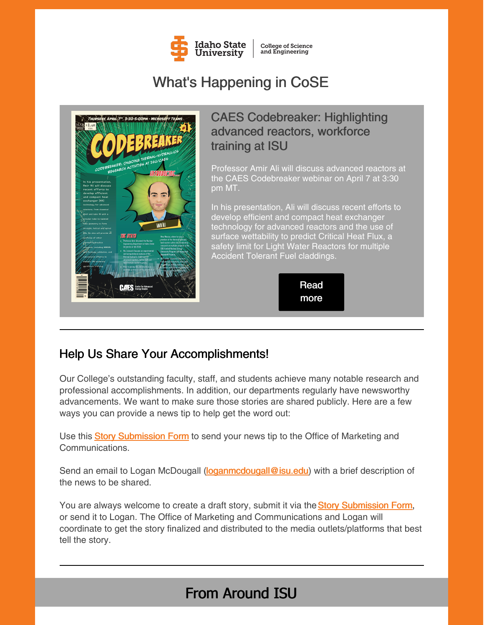

**College of Science** and Engineering

# What's Happening in CoSE



## CAES Codebreaker: Highlighting advanced reactors, workforce training at ISU

Professor Amir Ali will discuss advanced reactors at the CAES Codebreaker webinar on April 7 at 3:30 pm MT.

In his presentation, Ali will discuss recent efforts to develop efficient and compact heat exchanger technology for advanced reactors and the use of surface wettability to predict Critical Heat Flux, a safety limit for Light Water Reactors for multiple Accident Tolerant Fuel claddings.



## Help Us Share Your Accomplishments!

Our College's outstanding faculty, staff, and students achieve many notable research and professional accomplishments. In addition, our departments regularly have newsworthy advancements. We want to make sure those stories are shared publicly. Here are a few ways you can provide a news tip to help get the word out:

U[s](https://www.isu.edu/news/story-form/)e this **Story [Submission](https://www.isu.edu/news/story-form/) Form** to send your news tip to the Office of Marketing and Communications.

Send an email to Logan McDougall [\(loganmcdougall@isu.edu](mailto:loganmcdougall@isu.edu)) with a brief description of the news to be shared.

You ar[e](https://www.isu.edu/news/story-form/) always welcome to create a draft story, submit it via the **Story [Submission](https://www.isu.edu/news/story-form/) Form**, or send it to Logan. The Office of Marketing and Communications and Logan will coordinate to get the story finalized and distributed to the media outlets/platforms that best tell the story.

# From Around ISU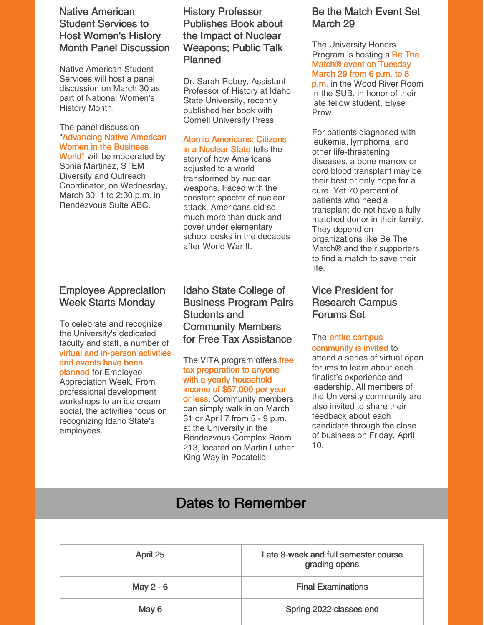## Native American Student Services to Host Women's History Month Panel Discussion

Native American Student Services will host a panel discussion on March 30 as part of National Women's History Month.

## The panel discussion ["Advancing](https://www.isu.edu/news/2022-spring/native-american-student-services-to-host-womens-history-month-panel-discussion.html) Native American Women in the Business

World" will be moderated by Sonia Martinez, STEM Diversity and Outreach Coordinator, on Wednesday, March 30, 1 to 2:30 p.m. in Rendezvous Suite ABC.

## Employee Appreciation Week Starts Monday

To celebrate and recognize the University's dedicated faculty and staff, a number of virtual and [in-person](https://www.isu.edu/hr/employee-tools/employee-appreciation-week/) activities and events have been planned for Employee Appreciation Week. From professional development workshops to an ice cream social, the activities focus on recognizing Idaho State's employees.

## History Professor Publishes Book about the Impact of Nuclear Weapons; Public Talk Planned

Dr. Sarah Robey, Assistant Professor of History at Idaho State University, recently published her book with Cornell University Press.

#### Atomic [Americans:](https://www.isu.edu/news/2022-spring/history-professor-dr-sarah-robey-publishes-book-to-give-public-talk.html) Citizens in a Nuclear State tells the

story of how Americans adjusted to a world transformed by nuclear weapons. Faced with the constant specter of nuclear attack, Americans did so much more than duck and cover under elementary school desks in the decades after World War II.

Idaho State College of Business Program Pairs Students and Community Members for Free Tax Assistance

The VITA program offers free tax [preparation](https://www.isu.edu/news/2022-spring/idaho-state-college-of-business-program-pairs-students-and-community-members-for-free-tax-assistance.html) to anyone with a yearly household income of \$57,000 per year or less. Community members can simply walk in on March 31 or April 7 from 5 - 9 p.m. at the University in the Rendezvous Complex Room 213, located on Martin Luther King Way in Pocatello.

## Be the Match Event Set March 29

The University Honors Program is hosting a Be The Match® event on [Tuesday](https://www.isu.edu/news/2022-spring/be-the-match-event-set-march-29.html) March 29 from 6 p.m. to 8 p.m. in the Wood River Room in the SUB, in honor of their late fellow student, Elyse Prow.

For patients diagnosed with leukemia, lymphoma, and other life-threatening diseases, a bone marrow or cord blood transplant may be their best or only hope for a cure. Yet 70 percent of patients who need a transplant do not have a fully matched donor in their family. They depend on organizations like Be The Match® and their supporters to find a match to save their life.

## Vice President for Research Campus Forums Set

### The entire campus [community](https://www.isu.edu/vpsearch/candidate-finalists/) is invited to

attend a series of virtual open forums to learn about each finalist's experience and leadership. All members of the University community are also invited to share their feedback about each candidate through the close of business on Friday, April 10.

# Dates to Remember

| April 25  | Late 8-week and full semester course<br>grading opens |
|-----------|-------------------------------------------------------|
| May 2 - 6 | <b>Final Examinations</b>                             |
| May 6     | Spring 2022 classes end                               |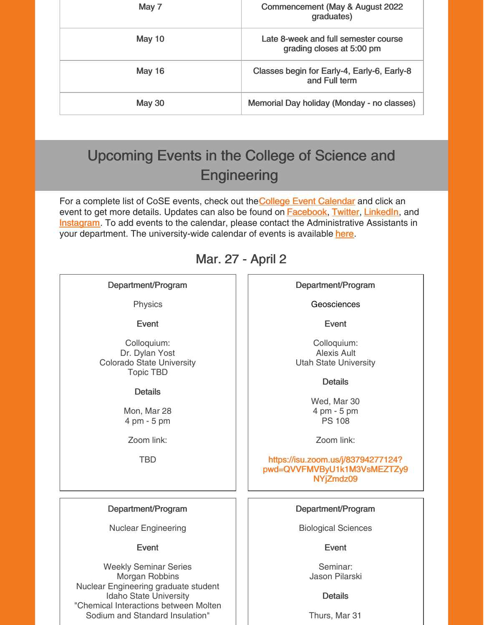| May 7         | Commencement (May & August 2022<br>graduates)                     |
|---------------|-------------------------------------------------------------------|
| May 10        | Late 8-week and full semester course<br>grading closes at 5:00 pm |
| <b>May 16</b> | Classes begin for Early-4, Early-6, Early-8<br>and Full term      |
| <b>May 30</b> | Memorial Day holiday (Monday - no classes)                        |

# Upcoming Events in the College of Science and **Engineering**

For a compl[e](https://isu.edu/cse/calendar/)te list of CoSE events, check out the **College Event [Calendar](https://isu.edu/cse/calendar/)** and click an event to get more details. Updates can also be found on **[Facebook](https://www.facebook.com/IdahoStateUCoSE)**, [Twitter](https://twitter.com/IdahoStateUCoSE), [LinkedIn](https://www.linkedin.com/company/idaho-state-university-college-of-science-and-engineering), and **[Instagram](https://www.instagram.com/idahostateucose/)**. To add events to the calendar, please contact the Administrative Assistants in your department. The university-wide calendar of events is available [here](https://www.isu.edu/calendar/).

## Mar. 27 - April 2

## Department/Program

**Physics** 

Event

Colloquium: Dr. Dylan Yost Colorado State University Topic TBD

**Details** 

Mon, Mar 28 4 pm - 5 pm

Zoom link:

TBD

Department/Program

Geosciences

Event

Colloquium: Alexis Ault Utah State University

**Details** 

Wed, Mar 30 4 pm - 5 pm PS 108

Zoom link:

https://isu.zoom.us/j/83794277124? [pwd=QVVFMVByU1k1M3VsMEZTZy9](https://isu.zoom.us/j/83794277124?pwd=QVVFMVByU1k1M3VsMEZTZy9NYjZmdz09) NYjZmdz09

## Department/Program

Biological Sciences

Event

Seminar: Jason Pilarski

### **Details**

Thurs, Mar 31

## Department/Program

Nuclear Engineering

## Event

Weekly Seminar Series Morgan Robbins Nuclear Engineering graduate student Idaho State University "Chemical Interactions between Molten Sodium and Standard Insulation"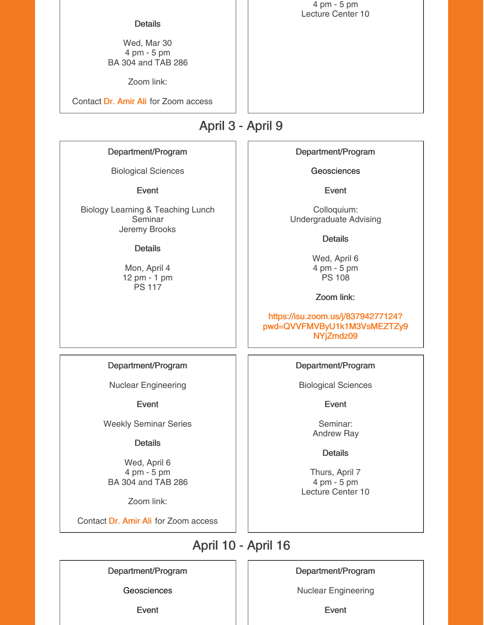#### **Details**

Wed, Mar 30 4 pm - 5 pm BA 304 and TAB 286

Zoom link:

Contact Dr. [Amir](mailto:aliamir@isu.edu) Ali for Zoom access

April 3 - April 9

Department/Program

Biological Sciences

Event

Biology Learning & Teaching Lunch Seminar Jeremy Brooks

#### **Details**

Mon, April 4 12 pm - 1 pm PS 117

Department/Program

Geosciences

Event

Colloquium: Undergraduate Advising

**Details** 

Wed, April 6 4 pm - 5 pm PS 108

Zoom link:

https://isu.zoom.us/j/83794277124? [pwd=QVVFMVByU1k1M3VsMEZTZy9](https://isu.zoom.us/j/83794277124?pwd=QVVFMVByU1k1M3VsMEZTZy9NYjZmdz09) NYjZmdz09

Department/Program

Nuclear Engineering

Event

Weekly Seminar Series

**Details** 

Wed, April 6 4 pm - 5 pm BA 304 and TAB 286

Zoom link:

Contact Dr. [Amir](mailto:aliamir@isu.edu) Ali for Zoom access

Department/Program

Biological Sciences

Event

Seminar: Andrew Ray

**Details** 

Thurs, April 7 4 pm - 5 pm Lecture Center 10

April 10 - April 16

Department/Program

**Geosciences** 

Event

### Department/Program

Nuclear Engineering

Event

4 pm - 5 pm Lecture Center 10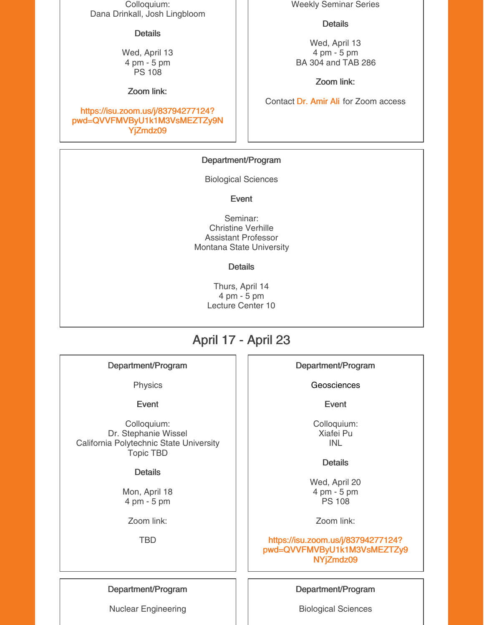Colloquium: Dana Drinkall, Josh Lingbloom

#### **Details**

Wed, April 13 4 pm - 5 pm PS 108

Zoom link:

### https://isu.zoom.us/j/83794277124? [pwd=QVVFMVByU1k1M3VsMEZTZy9N](https://isu.zoom.us/j/83794277124?pwd=QVVFMVByU1k1M3VsMEZTZy9NYjZmdz09) YjZmdz09

Weekly Seminar Series

#### **Details**

Wed, April 13 4 pm - 5 pm BA 304 and TAB 286

Zoom link:

Contact Dr. [Amir](mailto:aliamir@isu.edu) Ali for Zoom access

### Department/Program

Biological Sciences

Event

Seminar: Christine Verhille Assistant Professor Montana State University

#### **Details**

Thurs, April 14 4 pm - 5 pm Lecture Center 10

## April 17 - April 23

Department/Program

Physics

Event

Colloquium: Dr. Stephanie Wissel California Polytechnic State University Topic TBD

### **Details**

Mon, April 18 4 pm - 5 pm

Zoom link:

TBD

## Department/Program

**Geosciences** 

Event

Colloquium: Xiafei Pu INL

### **Details**

Wed, April 20 4 pm - 5 pm PS 108

Zoom link:

https://isu.zoom.us/j/83794277124? [pwd=QVVFMVByU1k1M3VsMEZTZy9](https://isu.zoom.us/j/83794277124?pwd=QVVFMVByU1k1M3VsMEZTZy9NYjZmdz09) NYjZmdz09

Department/Program

Nuclear Engineering

### Department/Program

Biological Sciences